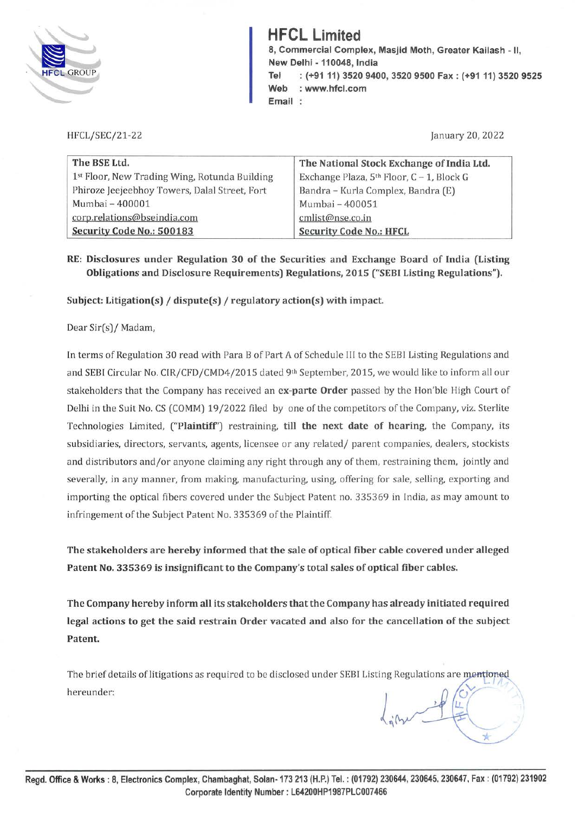

**HFCL Limited 8, Commercial Complex, Masjid Moth, Greater Kailash** - **11, New Delhi** - **110048, India Tel** : **(+9111) 3520 9400, 3520 9500 Fax: (+91 11) 3520 9525 Web** : **www.hfcl.com Email** 

**HFCL/SEC/21-22** 

January 20, 2022

| The BSE Ltd.                                  | The National Stock Exchange of India Ltd. |
|-----------------------------------------------|-------------------------------------------|
| 1st Floor, New Trading Wing, Rotunda Building | Exchange Plaza, 5th Floor, C - 1, Block G |
| Phiroze Jeejeebhoy Towers, Dalal Street, Fort | Bandra - Kurla Complex, Bandra (E)        |
| Mumbai - 400001                               | Mumbai - 400051                           |
| corp.relations@bseindia.com                   | cmlist@nse.co.in                          |
| Security Code No.: 500183                     | <b>Security Code No.: HFCL</b>            |

**RE: Disclosures under Regulation 30 of the Securities and Exchange Board of India (Listing Obligations and Disclosure Requirements) Regulations, 2015 ("SEBI Listing Regulations").** 

**Subject: Litigation(s)** / **dispute(s)** / **regulatory action(s) with impact.** 

Dear Sir(s)/ Madam,

In terms of Regulation 30 read with Para B of Part A of Schedule III to the SEBI Listing Regulations and and SEBI Circular No. CIR/ CFD/ CMD4/ 2015 dated 9th September, 2015, we would like to inform all our stakeholders that the Company has received an **ex-parte Order** passed by the Hon'ble High Court of Delhi in the Suit No. CS (COMM) 19 /2022 filed by one of the competitors of the Company, viz. Sterlite Technologies Limited, **("Plaintiff')** restraining, **till the next date of hearing,** the Company, its subsidiaries, directors, servants, agents, licensee or any related/ parent companies, dealers, stockists and distributors and/or anyone claiming any right through any of them, restraining them, jointly and severally, in any manner, from making, manufacturing, using, offering for sale, selling, exporting and importing the optical fibers covered under the Subject Patent no. 335369 in India, as may amount to infringement of the Subject Patent No. 335369 of the Plaintiff.

**The stakeholders are hereby informed that the sale of optical fiber cable covered under alleged Patent No. 335369 is insignificant to the Company's total sales of optical fiber cables.** 

**The Company hereby inform all its stakeholders that the Company has already initiated required legal actions to get the said restrain Order vacated and also for the cancellation of the subject Patent.** 

The brief details of litigations as required to be disclosed under SEBI Listing Regulations are mentioned hereunder:  $\bigcup_{\mu}$